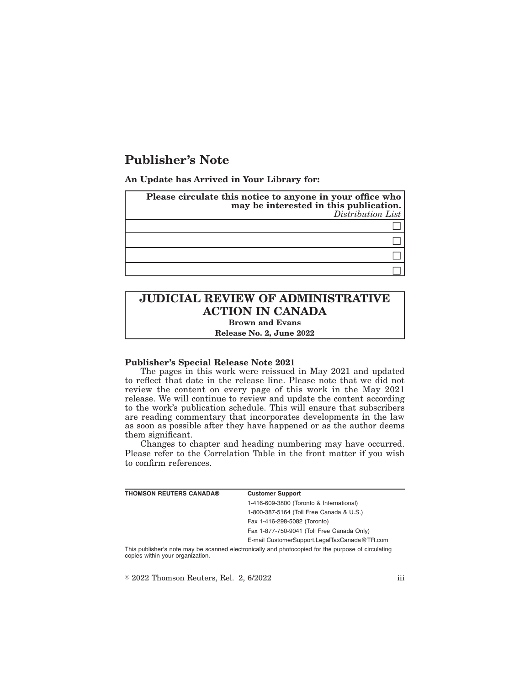# **Publisher's Note**

**An Update has Arrived in Your Library for:**

| Please circulate this notice to anyone in your office who<br>may be interested in this publication.<br>Distribution List |
|--------------------------------------------------------------------------------------------------------------------------|
|                                                                                                                          |
|                                                                                                                          |
|                                                                                                                          |
|                                                                                                                          |

# **JUDICIAL REVIEW OF ADMINISTRATIVE ACTION IN CANADA Brown and Evans**

**Release No. 2, June 2022**

## **Publisher's Special Release Note 2021**

The pages in this work were reissued in May 2021 and updated to reflect that date in the release line. Please note that we did not review the content on every page of this work in the May 2021 release. We will continue to review and update the content according to the work's publication schedule. This will ensure that subscribers are reading commentary that incorporates developments in the law as soon as possible after they have happened or as the author deems them significant.

Changes to chapter and heading numbering may have occurred. Please refer to the Correlation Table in the front matter if you wish to confirm references.

| <b>THOMSON REUTERS CANADA®</b>   | <b>Customer Support</b>                                                                            |
|----------------------------------|----------------------------------------------------------------------------------------------------|
|                                  | 1-416-609-3800 (Toronto & International)                                                           |
|                                  | 1-800-387-5164 (Toll Free Canada & U.S.)                                                           |
|                                  | Fax 1-416-298-5082 (Toronto)                                                                       |
|                                  | Fax 1-877-750-9041 (Toll Free Canada Only)                                                         |
|                                  | E-mail CustomerSupport.LegalTaxCanada@TR.com                                                       |
| copies within your organization. | This publisher's note may be scanned electronically and photocopied for the purpose of circulating |

 $\textdegree$  2022 Thomson Reuters, Rel. 2, 6/2022 iii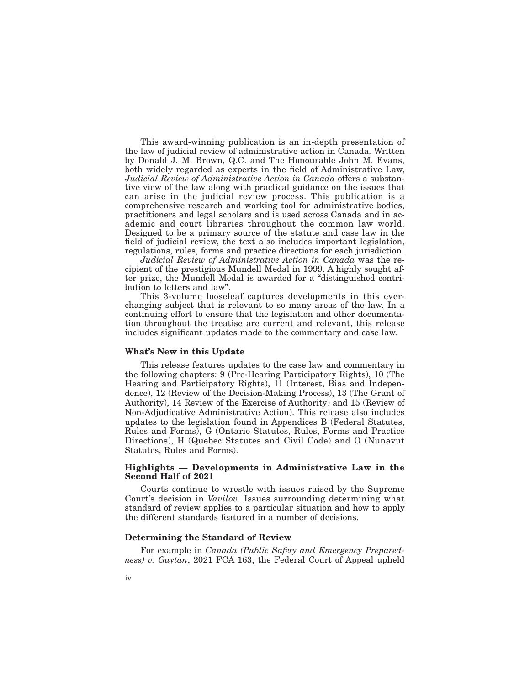This award-winning publication is an in-depth presentation of the law of judicial review of administrative action in Canada. Written by Donald J. M. Brown, Q.C. and The Honourable John M. Evans, both widely regarded as experts in the field of Administrative Law, *Judicial Review of Administrative Action in Canada* offers a substantive view of the law along with practical guidance on the issues that can arise in the judicial review process. This publication is a comprehensive research and working tool for administrative bodies, practitioners and legal scholars and is used across Canada and in academic and court libraries throughout the common law world. Designed to be a primary source of the statute and case law in the field of judicial review, the text also includes important legislation, regulations, rules, forms and practice directions for each jurisdiction.

*Judicial Review of Administrative Action in Canada* was the recipient of the prestigious Mundell Medal in 1999. A highly sought after prize, the Mundell Medal is awarded for a "distinguished contribution to letters and law".

This 3-volume looseleaf captures developments in this everchanging subject that is relevant to so many areas of the law. In a continuing effort to ensure that the legislation and other documentation throughout the treatise are current and relevant, this release includes significant updates made to the commentary and case law.

### **What's New in this Update**

This release features updates to the case law and commentary in the following chapters: 9 (Pre-Hearing Participatory Rights), 10 (The Hearing and Participatory Rights), 11 (Interest, Bias and Independence), 12 (Review of the Decision-Making Process), 13 (The Grant of Authority), 14 Review of the Exercise of Authority) and 15 (Review of Non-Adjudicative Administrative Action). This release also includes updates to the legislation found in Appendices B (Federal Statutes, Rules and Forms), G (Ontario Statutes, Rules, Forms and Practice Directions), H (Quebec Statutes and Civil Code) and O (Nunavut Statutes, Rules and Forms).

### **Highlights — Developments in Administrative Law in the Second Half of 2021**

Courts continue to wrestle with issues raised by the Supreme Court's decision in *Vavilov*. Issues surrounding determining what standard of review applies to a particular situation and how to apply the different standards featured in a number of decisions.

## **Determining the Standard of Review**

For example in *Canada (Public Safety and Emergency Preparedness) v. Gaytan*, 2021 FCA 163, the Federal Court of Appeal upheld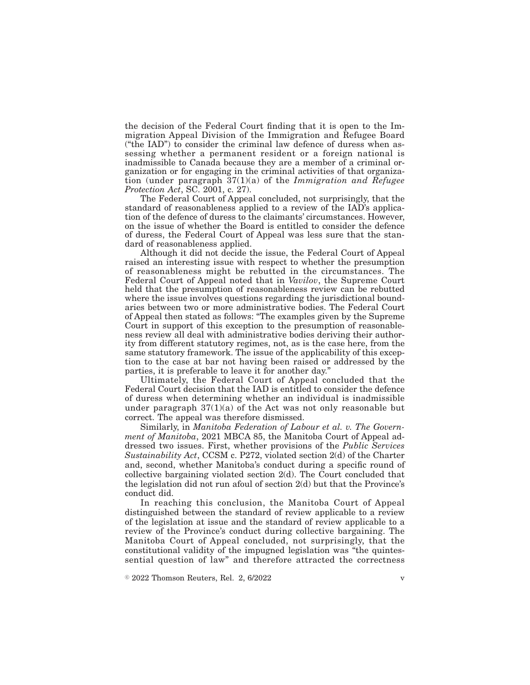the decision of the Federal Court finding that it is open to the Immigration Appeal Division of the Immigration and Refugee Board ("the IAD") to consider the criminal law defence of duress when assessing whether a permanent resident or a foreign national is inadmissible to Canada because they are a member of a criminal organization or for engaging in the criminal activities of that organization (under paragraph 37(1)(a) of the *Immigration and Refugee Protection Act*, SC. 2001, c. 27).

The Federal Court of Appeal concluded, not surprisingly, that the standard of reasonableness applied to a review of the IAD's application of the defence of duress to the claimants' circumstances. However, on the issue of whether the Board is entitled to consider the defence of duress, the Federal Court of Appeal was less sure that the standard of reasonableness applied.

Although it did not decide the issue, the Federal Court of Appeal raised an interesting issue with respect to whether the presumption of reasonableness might be rebutted in the circumstances. The Federal Court of Appeal noted that in *Vavilov*, the Supreme Court held that the presumption of reasonableness review can be rebutted where the issue involves questions regarding the jurisdictional boundaries between two or more administrative bodies. The Federal Court of Appeal then stated as follows: "The examples given by the Supreme Court in support of this exception to the presumption of reasonableness review all deal with administrative bodies deriving their authority from different statutory regimes, not, as is the case here, from the same statutory framework. The issue of the applicability of this exception to the case at bar not having been raised or addressed by the parties, it is preferable to leave it for another day."

Ultimately, the Federal Court of Appeal concluded that the Federal Court decision that the IAD is entitled to consider the defence of duress when determining whether an individual is inadmissible under paragraph  $37(1)(a)$  of the Act was not only reasonable but correct. The appeal was therefore dismissed.

Similarly, in *Manitoba Federation of Labour et al. v. The Government of Manitoba*, 2021 MBCA 85, the Manitoba Court of Appeal addressed two issues. First, whether provisions of the *Public Services Sustainability Act*, CCSM c. P272, violated section 2(d) of the Charter and, second, whether Manitoba's conduct during a specific round of collective bargaining violated section 2(d). The Court concluded that the legislation did not run afoul of section 2(d) but that the Province's conduct did.

In reaching this conclusion, the Manitoba Court of Appeal distinguished between the standard of review applicable to a review of the legislation at issue and the standard of review applicable to a review of the Province's conduct during collective bargaining. The Manitoba Court of Appeal concluded, not surprisingly, that the constitutional validity of the impugned legislation was "the quintessential question of law" and therefore attracted the correctness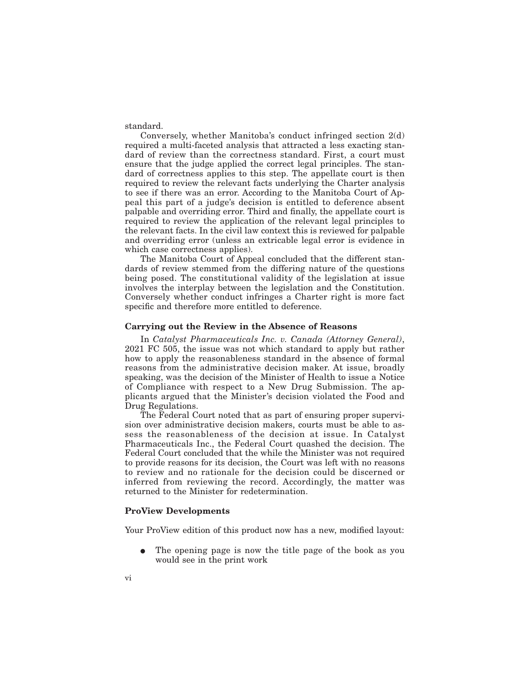standard.

Conversely, whether Manitoba's conduct infringed section 2(d) required a multi-faceted analysis that attracted a less exacting standard of review than the correctness standard. First, a court must ensure that the judge applied the correct legal principles. The standard of correctness applies to this step. The appellate court is then required to review the relevant facts underlying the Charter analysis to see if there was an error. According to the Manitoba Court of Appeal this part of a judge's decision is entitled to deference absent palpable and overriding error. Third and finally, the appellate court is required to review the application of the relevant legal principles to the relevant facts. In the civil law context this is reviewed for palpable and overriding error (unless an extricable legal error is evidence in which case correctness applies).

The Manitoba Court of Appeal concluded that the different standards of review stemmed from the differing nature of the questions being posed. The constitutional validity of the legislation at issue involves the interplay between the legislation and the Constitution. Conversely whether conduct infringes a Charter right is more fact specific and therefore more entitled to deference.

#### **Carrying out the Review in the Absence of Reasons**

In *Catalyst Pharmaceuticals Inc. v. Canada (Attorney General)*, 2021 FC 505, the issue was not which standard to apply but rather how to apply the reasonableness standard in the absence of formal reasons from the administrative decision maker. At issue, broadly speaking, was the decision of the Minister of Health to issue a Notice of Compliance with respect to a New Drug Submission. The applicants argued that the Minister's decision violated the Food and Drug Regulations.

The Federal Court noted that as part of ensuring proper supervision over administrative decision makers, courts must be able to assess the reasonableness of the decision at issue. In Catalyst Pharmaceuticals Inc., the Federal Court quashed the decision. The Federal Court concluded that the while the Minister was not required to provide reasons for its decision, the Court was left with no reasons to review and no rationale for the decision could be discerned or inferred from reviewing the record. Accordingly, the matter was returned to the Minister for redetermination.

#### **ProView Developments**

Your ProView edition of this product now has a new, modified layout:

The opening page is now the title page of the book as you would see in the print work